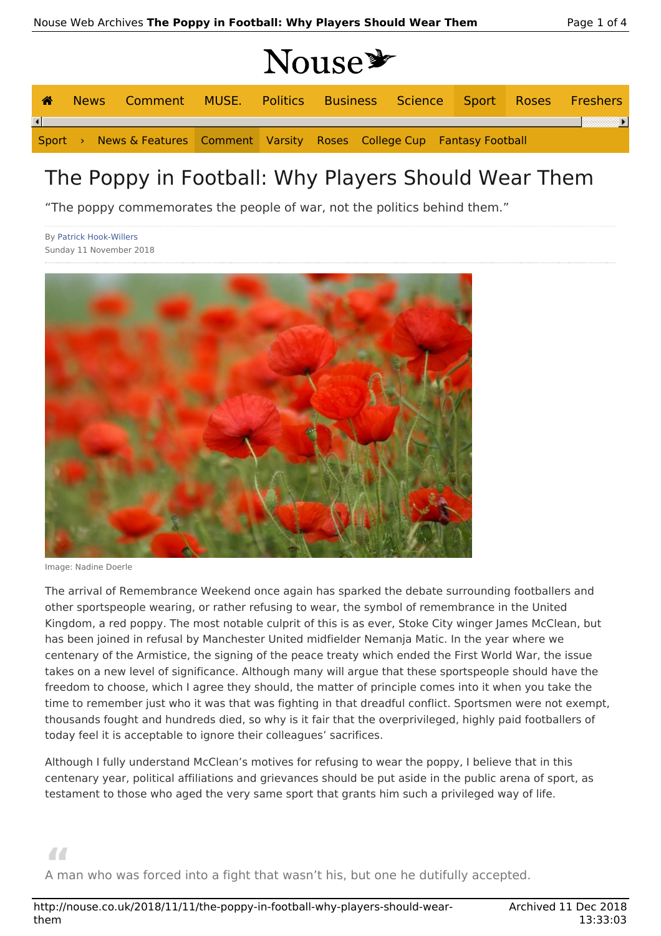# Nouse\*

|  | News Comment MUSE. Politics Business Science Sport Roses Freshers          |  |  |  |  |
|--|----------------------------------------------------------------------------|--|--|--|--|
|  |                                                                            |  |  |  |  |
|  | Sport > News & Features Comment Varsity Roses College Cup Fantasy Football |  |  |  |  |

## The Poppy in Football: Why Players Should Wear Them

"The poppy commemorates the people of war, not the politics behind them."

By Patrick Hook-Willers Sunday 11 November 2018



Image: Nadine Doerle

The arrival of Remembrance Weekend once again has sparked the debate surrounding footballers and other sportspeople wearing, or rather refusing to wear, the symbol of remembrance in the United Kingdom, a red poppy. The most notable culprit of this is as ever, Stoke City winger James McClean, but has been joined in refusal by Manchester United midfielder Nemanja Matic. In the year where we centenary of the Armistice, the signing of the peace treaty which ended the First World War, the issue takes on a new level of significance. Although many will argue that these sportspeople should have the freedom to choose, which I agree they should, the matter of principle comes into it when you take the time to remember just who it was that was fighting in that dreadful conflict. Sportsmen were not exempt, thousands fought and hundreds died, so why is it fair that the overprivileged, highly paid footballers of today feel it is acceptable to ignore their colleagues' sacrifices.

Although I fully understand McClean's motives for refusing to wear the poppy, I believe that in this centenary year, political affiliations and grievances should be put aside in the public arena of sport, as testament to those who aged the very same sport that grants him such a privileged way of life.

**"** A man who was forced into a fight that wasn't his, but one he dutifully accepted.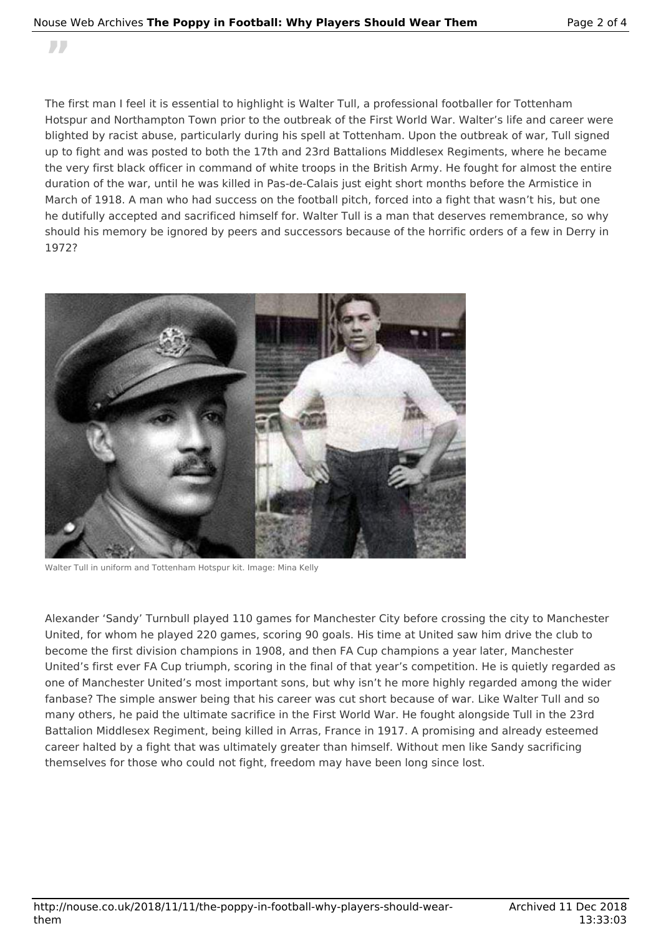#### Nouse Web Archives **The Poppy in Football: Why Players Should Wear Them** Page 2 of 4

**"**

The first man I feel it is essential to highlight is Walter Tull, a professional footballer for Tottenham Hotspur and Northampton Town prior to the outbreak of the First World War. Walter's life and career were blighted by racist abuse, particularly during his spell at Tottenham. Upon the outbreak of war, Tull signed up to fight and was posted to both the 17th and 23rd Battalions Middlesex Regiments, where he became the very first black officer in command of white troops in the British Army. He fought for almost the entire duration of the war, until he was killed in Pas-de-Calais just eight short months before the Armistice in March of 1918. A man who had success on the football pitch, forced into a fight that wasn't his, but one he dutifully accepted and sacrificed himself for. Walter Tull is a man that deserves remembrance, so why should his memory be ignored by peers and successors because of the horrific orders of a few in Derry in 1972?



Walter Tull in uniform and Tottenham Hotspur kit. Image: Mina Kelly

Alexander 'Sandy' Turnbull played 110 games for Manchester City before crossing the city to Manchester United, for whom he played 220 games, scoring 90 goals. His time at United saw him drive the club to become the first division champions in 1908, and then FA Cup champions a year later, Manchester United's first ever FA Cup triumph, scoring in the final of that year's competition. He is quietly regarded as one of Manchester United's most important sons, but why isn't he more highly regarded among the wider fanbase? The simple answer being that his career was cut short because of war. Like Walter Tull and so many others, he paid the ultimate sacrifice in the First World War. He fought alongside Tull in the 23rd Battalion Middlesex Regiment, being killed in Arras, France in 1917. A promising and already esteemed career halted by a fight that was ultimately greater than himself. Without men like Sandy sacrificing themselves for those who could not fight, freedom may have been long since lost.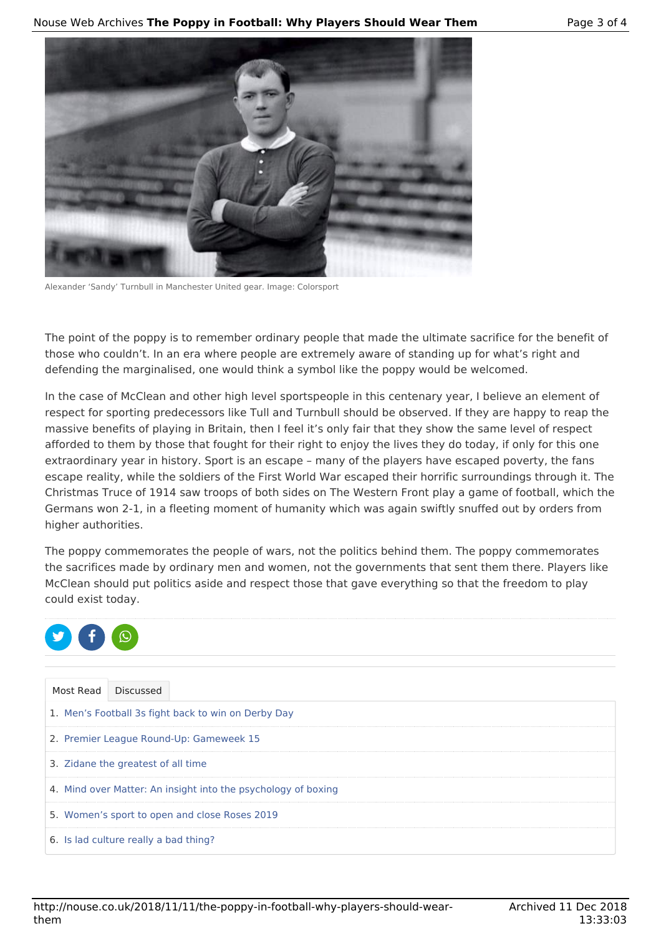

Alexander 'Sandy' Turnbull in Manchester United gear. Image: Colorsport

The point of the poppy is to remember ordinary people that made the ultimate sacrifice for the benefit of those who couldn't. In an era where people are extremely aware of standing up for what's right and defending the marginalised, one would think a symbol like the poppy would be welcomed.

In the case of McClean and other high level sportspeople in this centenary year, I believe an element of respect for sporting predecessors like Tull and Turnbull should be observed. If they are happy to reap the massive benefits of playing in Britain, then I feel it's only fair that they show the same level of respect afforded to them by those that fought for their right to enjoy the lives they do today, if only for this one extraordinary year in history. Sport is an escape – many of the players have escaped poverty, the fans escape reality, while the soldiers of the First World War escaped their horrific surroundings through it. The Christmas Truce of 1914 saw troops of both sides on The Western Front play a game of football, which the Germans won 2-1, in a fleeting moment of humanity which was again swiftly snuffed out by orders from higher authorities.

The poppy commemorates the people of wars, not the politics behind them. The poppy commemorates the sacrifices made by ordinary men and women, not the governments that sent them there. Players like McClean should put politics aside and respect those that gave everything so that the freedom to play could exist today.



| Most Read                                           | <b>Discussed</b>                                              |  |  |  |  |  |  |
|-----------------------------------------------------|---------------------------------------------------------------|--|--|--|--|--|--|
| 1. Men's Football 3s fight back to win on Derby Day |                                                               |  |  |  |  |  |  |
| 2. Premier League Round-Up: Gameweek 15             |                                                               |  |  |  |  |  |  |
| 3. Zidane the greatest of all time                  |                                                               |  |  |  |  |  |  |
|                                                     | 4. Mind over Matter: An insight into the psychology of boxing |  |  |  |  |  |  |
|                                                     | 5. Women's sport to open and close Roses 2019                 |  |  |  |  |  |  |
|                                                     | 6. Is lad culture really a bad thing?                         |  |  |  |  |  |  |